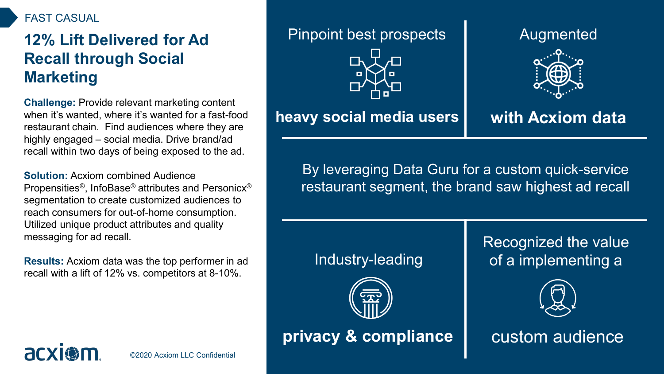#### FAST CASUAL

# **12% Lift Delivered for Ad Recall through Social Marketing**

**Challenge:** Provide relevant marketing content when it's wanted, where it's wanted for a fast-food restaurant chain. Find audiences where they are highly engaged – social media. Drive brand/ad recall within two days of being exposed to the ad.

**Solution:** Acxiom combined Audience Propensities®, InfoBase® attributes and Personicx® segmentation to create customized audiences to reach consumers for out-of-home consumption. Utilized unique product attributes and quality messaging for ad recall.

**Results:** Acxiom data was the top performer in ad recall with a lift of 12% vs. competitors at 8-10%.

#### Pinpoint best prospects



## **heavy social media users**

Augmented



# **with Acxiom data**

By leveraging Data Guru for a custom quick-service restaurant segment, the brand saw highest ad recall

Industry-leading



**privacy & compliance**

Recognized the value of a implementing a



custom audience